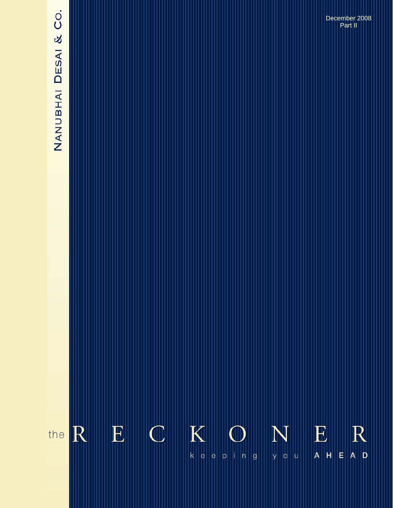# NANUBHAI DESAI & CO.

**The Reckoner….** *keeping you ahead* **August 2008**  December 2008 Part II

#### $K$  ${\bf E}$  $\mathbb{C}$ E  $\mathbb R$ R N the  $k |e|$  $|\mathsf{e}|$  $A$  D eping you  $A$   $H$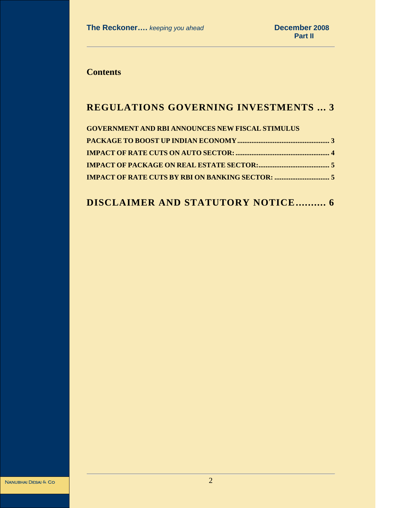**Contents** 

## **REGULATIONS GOVERNING INVESTMENTS ... 3**

| <b>GOVERNMENT AND RBI ANNOUNCES NEW FISCAL STIMULUS</b> |  |
|---------------------------------------------------------|--|
|                                                         |  |
|                                                         |  |
|                                                         |  |
|                                                         |  |

# **DISCLAIMER AND STATUTORY NOTICE.......... 6**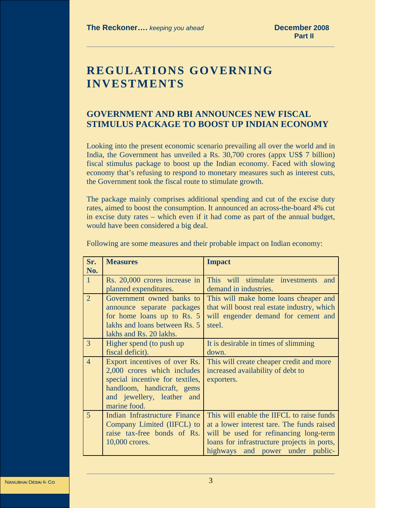# **REGULATIONS GOVERNING INVESTMENTS**

### **GOVERNMENT AND RBI ANNOUNCES NEW FISCAL STIMULUS PACKAGE TO BOOST UP INDIAN ECONOMY**

Looking into the present economic scenario prevailing all over the world and in India, the Government has unveiled a Rs. 30,700 crores (appx US\$ 7 billion) fiscal stimulus package to boost up the Indian economy. Faced with slowing economy that's refusing to respond to monetary measures such as interest cuts, the Government took the fiscal route to stimulate growth.

The package mainly comprises additional spending and cut of the excise duty rates, aimed to boost the consumption. It announced an across-the-board 4% cut in excise duty rates – which even if it had come as part of the annual budget, would have been considered a big deal.

| Sr.                 | <b>Measures</b>                                                                                                                                                             | <b>Impact</b>                                                                                                                                                                                                        |
|---------------------|-----------------------------------------------------------------------------------------------------------------------------------------------------------------------------|----------------------------------------------------------------------------------------------------------------------------------------------------------------------------------------------------------------------|
| No.<br>$\mathbf{1}$ | Rs. 20,000 crores increase in<br>planned expenditures.                                                                                                                      | This will stimulate investments<br>and<br>demand in industries.                                                                                                                                                      |
| $\overline{2}$      | Government owned banks to<br>announce separate packages<br>for home loans up to Rs. 5<br>lakhs and loans between Rs. 5<br>lakhs and Rs. 20 lakhs.                           | This will make home loans cheaper and<br>that will boost real estate industry, which<br>will engender demand for cement and<br>steel.                                                                                |
| 3                   | Higher spend (to push up)<br>fiscal deficit).                                                                                                                               | It is desirable in times of slimming<br>down.                                                                                                                                                                        |
| $\overline{4}$      | Export incentives of over Rs.<br>2,000 crores which includes<br>special incentive for textiles,<br>handloom, handicraft, gems<br>and jewellery, leather and<br>marine food. | This will create cheaper credit and more<br>increased availability of debt to<br>exporters.                                                                                                                          |
| 5                   | Indian Infrastructure Finance<br>Company Limited (IIFCL) to<br>raise tax-free bonds of Rs.<br>10,000 crores.                                                                | This will enable the IIFCL to raise funds<br>at a lower interest tare. The funds raised<br>will be used for refinancing long-term<br>loans for infrastructure projects in ports,<br>highways and power under public- |

Following are some measures and their probable impact on Indian economy: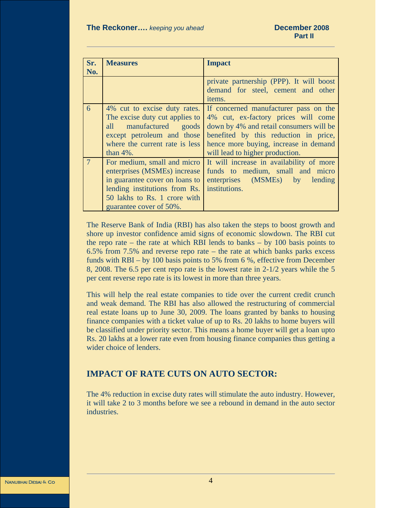| Sr.<br>No. | <b>Measures</b>                                                                                                                                                                           | <b>Impact</b>                                                                                                                                                                                                                                |
|------------|-------------------------------------------------------------------------------------------------------------------------------------------------------------------------------------------|----------------------------------------------------------------------------------------------------------------------------------------------------------------------------------------------------------------------------------------------|
|            |                                                                                                                                                                                           | private partnership (PPP). It will boost<br>demand for steel, cement and other<br><i>items.</i>                                                                                                                                              |
| 6          | 4% cut to excise duty rates.<br>The excise duty cut applies to<br>manufactured<br>all<br>goods<br>except petroleum and those<br>where the current rate is less<br>than $4\%$ .            | If concerned manufacturer pass on the<br>4% cut, ex-factory prices will come<br>down by 4% and retail consumers will be<br>benefited by this reduction in price,<br>hence more buying, increase in demand<br>will lead to higher production. |
|            | For medium, small and micro<br>enterprises (MSMEs) increase<br>in guarantee cover on loans to<br>lending institutions from Rs.<br>50 lakhs to Rs. 1 crore with<br>guarantee cover of 50%. | It will increase in availability of more<br>funds to medium, small and micro<br>enterprises (MSMEs) by lending<br>institutions.                                                                                                              |

The Reserve Bank of India (RBI) has also taken the steps to boost growth and shore up investor confidence amid signs of economic slowdown. The RBI cut the repo rate – the rate at which RBI lends to banks – by 100 basis points to 6.5% from 7.5% and reverse repo rate – the rate at which banks parks excess funds with RBI – by 100 basis points to 5% from 6 %, effective from December 8, 2008. The 6.5 per cent repo rate is the lowest rate in 2-1/2 years while the 5 per cent reverse repo rate is its lowest in more than three years.

This will help the real estate companies to tide over the current credit crunch and weak demand. The RBI has also allowed the restructuring of commercial real estate loans up to June 30, 2009. The loans granted by banks to housing finance companies with a ticket value of up to Rs. 20 lakhs to home buyers will be classified under priority sector. This means a home buyer will get a loan upto Rs. 20 lakhs at a lower rate even from housing finance companies thus getting a wider choice of lenders.

#### **IMPACT OF RATE CUTS ON AUTO SECTOR:**

The 4% reduction in excise duty rates will stimulate the auto industry. However, it will take 2 to 3 months before we see a rebound in demand in the auto sector industries.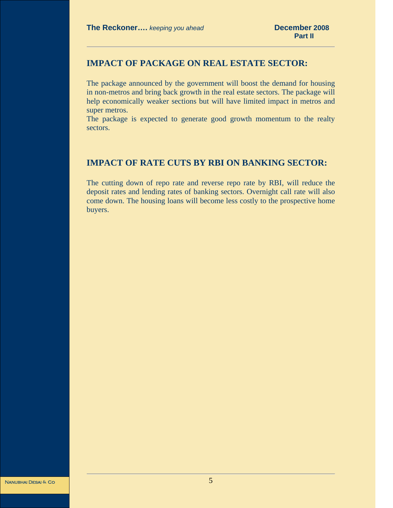#### **IMPACT OF PACKAGE ON REAL ESTATE SECTOR:**

The package announced by the government will boost the demand for housing in non-metros and bring back growth in the real estate sectors. The package will help economically weaker sections but will have limited impact in metros and super metros.

The package is expected to generate good growth momentum to the realty sectors.

#### **IMPACT OF RATE CUTS BY RBI ON BANKING SECTOR:**

The cutting down of repo rate and reverse repo rate by RBI, will reduce the deposit rates and lending rates of banking sectors. Overnight call rate will also come down. The housing loans will become less costly to the prospective home buyers.